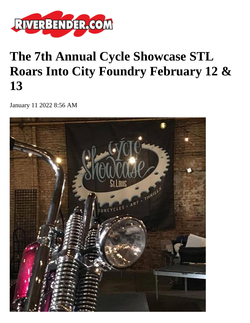

## **The 7th Annual Cycle Showcase STL Roars Into City Foundry February 12 & 13**

January 11 2022 8:56 AM